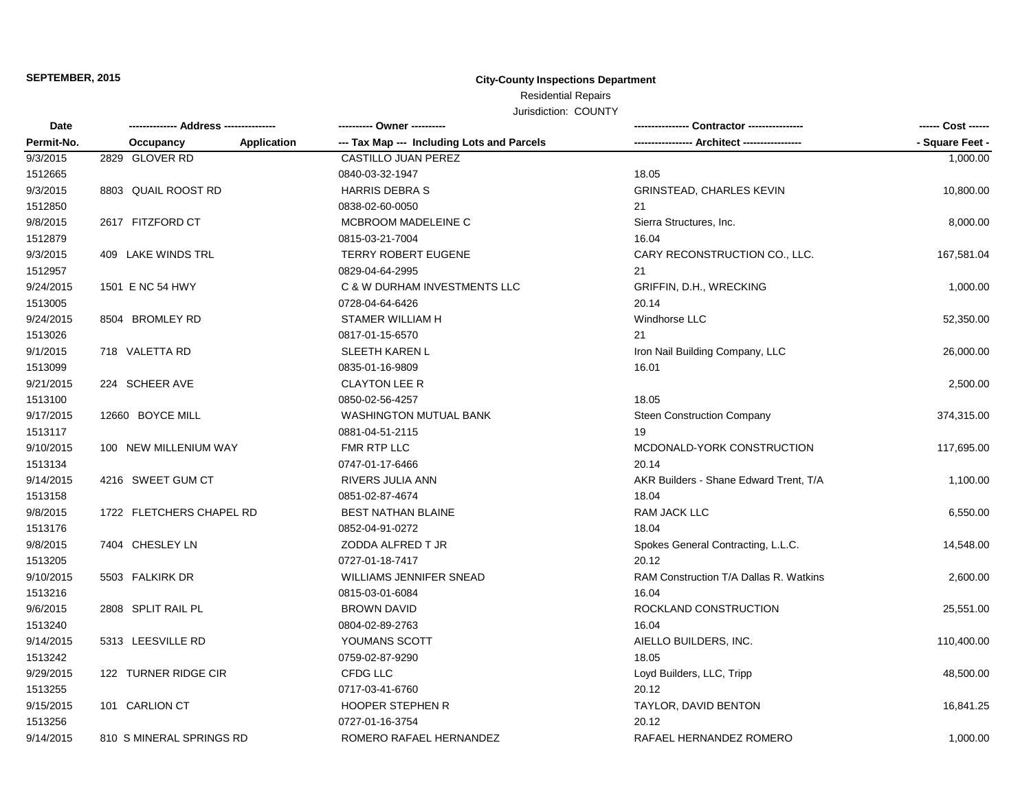# **SEPTEMBER, 2015 City-County Inspections Department**

Residential Repairs

Jurisdiction: COUNTY

| Date       | -------------- Address --------------- |                    | ---------- Owner ----------                |                                        | ------ Cost ------ |
|------------|----------------------------------------|--------------------|--------------------------------------------|----------------------------------------|--------------------|
| Permit-No. | Occupancy                              | <b>Application</b> | --- Tax Map --- Including Lots and Parcels |                                        | - Square Feet -    |
| 9/3/2015   | 2829 GLOVER RD                         |                    | <b>CASTILLO JUAN PEREZ</b>                 |                                        | 1,000.00           |
| 1512665    |                                        |                    | 0840-03-32-1947                            | 18.05                                  |                    |
| 9/3/2015   | 8803 QUAIL ROOST RD                    |                    | <b>HARRIS DEBRA S</b>                      | <b>GRINSTEAD, CHARLES KEVIN</b>        | 10,800.00          |
| 1512850    |                                        |                    | 0838-02-60-0050                            | 21                                     |                    |
| 9/8/2015   | 2617 FITZFORD CT                       |                    | <b>MCBROOM MADELEINE C</b>                 | Sierra Structures, Inc.                | 8,000.00           |
| 1512879    |                                        |                    | 0815-03-21-7004                            | 16.04                                  |                    |
| 9/3/2015   | 409 LAKE WINDS TRL                     |                    | <b>TERRY ROBERT EUGENE</b>                 | CARY RECONSTRUCTION CO., LLC.          | 167,581.04         |
| 1512957    |                                        |                    | 0829-04-64-2995                            | 21                                     |                    |
| 9/24/2015  | 1501 E NC 54 HWY                       |                    | C & W DURHAM INVESTMENTS LLC               | GRIFFIN, D.H., WRECKING                | 1,000.00           |
| 1513005    |                                        |                    | 0728-04-64-6426                            | 20.14                                  |                    |
| 9/24/2015  | 8504 BROMLEY RD                        |                    | <b>STAMER WILLIAM H</b>                    | Windhorse LLC                          | 52,350.00          |
| 1513026    |                                        |                    | 0817-01-15-6570                            | 21                                     |                    |
| 9/1/2015   | 718 VALETTA RD                         |                    | <b>SLEETH KAREN L</b>                      | Iron Nail Building Company, LLC        | 26,000.00          |
| 1513099    |                                        |                    | 0835-01-16-9809                            | 16.01                                  |                    |
| 9/21/2015  | 224 SCHEER AVE                         |                    | <b>CLAYTON LEE R</b>                       |                                        | 2,500.00           |
| 1513100    |                                        |                    | 0850-02-56-4257                            | 18.05                                  |                    |
| 9/17/2015  | 12660 BOYCE MILL                       |                    | WASHINGTON MUTUAL BANK                     | <b>Steen Construction Company</b>      | 374,315.00         |
| 1513117    |                                        |                    | 0881-04-51-2115                            | 19                                     |                    |
| 9/10/2015  | 100 NEW MILLENIUM WAY                  |                    | FMR RTP LLC                                | MCDONALD-YORK CONSTRUCTION             | 117,695.00         |
| 1513134    |                                        |                    | 0747-01-17-6466                            | 20.14                                  |                    |
| 9/14/2015  | 4216 SWEET GUM CT                      |                    | RIVERS JULIA ANN                           | AKR Builders - Shane Edward Trent, T/A | 1,100.00           |
| 1513158    |                                        |                    | 0851-02-87-4674                            | 18.04                                  |                    |
| 9/8/2015   | 1722 FLETCHERS CHAPEL RD               |                    | <b>BEST NATHAN BLAINE</b>                  | RAM JACK LLC                           | 6,550.00           |
| 1513176    |                                        |                    | 0852-04-91-0272                            | 18.04                                  |                    |
| 9/8/2015   | 7404 CHESLEY LN                        |                    | ZODDA ALFRED T JR                          | Spokes General Contracting, L.L.C.     | 14,548.00          |
| 1513205    |                                        |                    | 0727-01-18-7417                            | 20.12                                  |                    |
| 9/10/2015  | 5503 FALKIRK DR                        |                    | WILLIAMS JENNIFER SNEAD                    | RAM Construction T/A Dallas R. Watkins | 2,600.00           |
| 1513216    |                                        |                    | 0815-03-01-6084                            | 16.04                                  |                    |
| 9/6/2015   | 2808 SPLIT RAIL PL                     |                    | <b>BROWN DAVID</b>                         | ROCKLAND CONSTRUCTION                  | 25,551.00          |
| 1513240    |                                        |                    | 0804-02-89-2763                            | 16.04                                  |                    |
| 9/14/2015  | 5313 LEESVILLE RD                      |                    | YOUMANS SCOTT                              | AIELLO BUILDERS, INC.                  | 110,400.00         |
| 1513242    |                                        |                    | 0759-02-87-9290                            | 18.05                                  |                    |
| 9/29/2015  | 122 TURNER RIDGE CIR                   |                    | CFDG LLC                                   | Loyd Builders, LLC, Tripp              | 48,500.00          |
| 1513255    |                                        |                    | 0717-03-41-6760                            | 20.12                                  |                    |
| 9/15/2015  | 101 CARLION CT                         |                    | <b>HOOPER STEPHEN R</b>                    | TAYLOR, DAVID BENTON                   | 16,841.25          |
| 1513256    |                                        |                    | 0727-01-16-3754                            | 20.12                                  |                    |
| 9/14/2015  | 810 S MINERAL SPRINGS RD               |                    | ROMERO RAFAEL HERNANDEZ                    | RAFAEL HERNANDEZ ROMERO                | 1,000.00           |